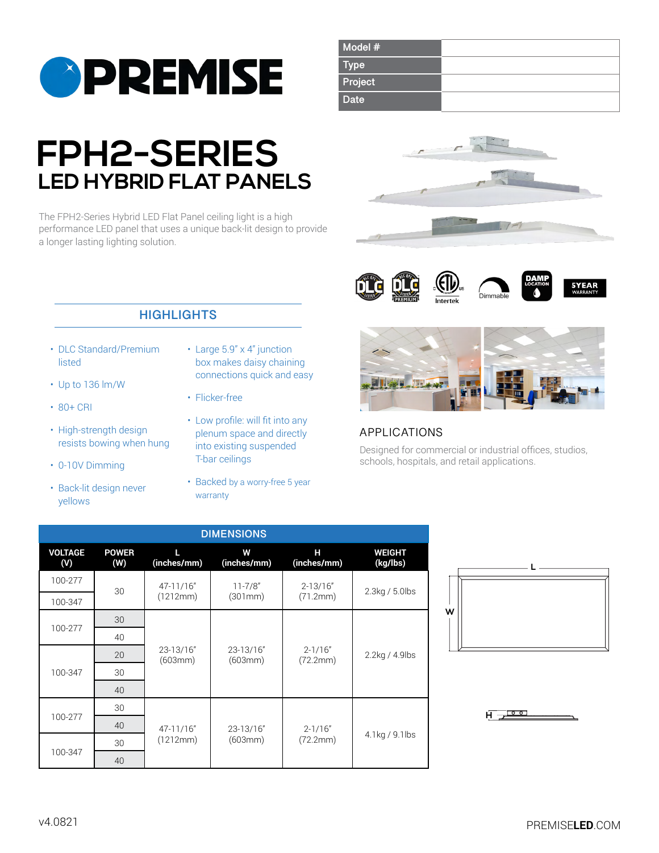

# **LED HYBRID FLAT PANELS FPH2-SERIES**

The FPH2-Series Hybrid LED Flat Panel ceiling light is a high performance LED panel that uses a unique back-lit design to provide a longer lasting lighting solution.

**HIGHLIGHTS**

• DLC Standard/Premium

listed

• 80+ CRI

• Up to 136 lm/W

• 0-10V Dimming

yellows

• High-strength design resists bowing when hung

• Back-lit design never









## APPLICATIONS

Designed for commercial or industrial offices, studios, schools, hospitals, and retail applications. 150

| <b>DIMENSIONS</b>     |                     |                      |                      |                         |                           |  |  |  |
|-----------------------|---------------------|----------------------|----------------------|-------------------------|---------------------------|--|--|--|
| <b>VOLTAGE</b><br>(V) | <b>POWER</b><br>(W) | г<br>(inches/mm)     | W<br>(inches/mm)     | н<br>(inches/mm)        | <b>WEIGHT</b><br>(kg/lbs) |  |  |  |
| 100-277               | 30                  | 47-11/16"            | $11 - 7/8"$          | $2 - 13/16"$            | $2.3$ kg / $5.0$ lbs      |  |  |  |
| 100-347               |                     | (1212mm)             | (301mm)              | (71.2mm)                |                           |  |  |  |
|                       | 30                  |                      |                      |                         |                           |  |  |  |
| 100-277               | 40                  |                      |                      |                         |                           |  |  |  |
|                       | 20                  | 23-13/16"<br>(603mm) | 23-13/16"<br>(603mm) | $2 - 1/16"$<br>(72.2mm) | 2.2kg / 4.9lbs            |  |  |  |
| 100-347               | 30                  |                      |                      |                         |                           |  |  |  |
|                       | 40                  |                      |                      |                         |                           |  |  |  |
|                       | 30                  |                      |                      |                         |                           |  |  |  |
|                       | 40                  | 47-11/16"            | 23-13/16"            | $2 - 1/16"$             |                           |  |  |  |
| 100-277<br>100-347    | 30                  | (1212mm)             | (603mm)              | (72.2mm)                | 4.1 $kg / 9.1$ lbs        |  |  |  |
|                       | 40                  |                      |                      |                         |                           |  |  |  |





# box makes daisy chaining connections quick and easy

- Flicker-free
- Low profile: will fit into any plenum space and directly into existing suspended T-bar ceilings

• Large 5.9" x 4" junction

• Backed by a worry-free 5 year warranty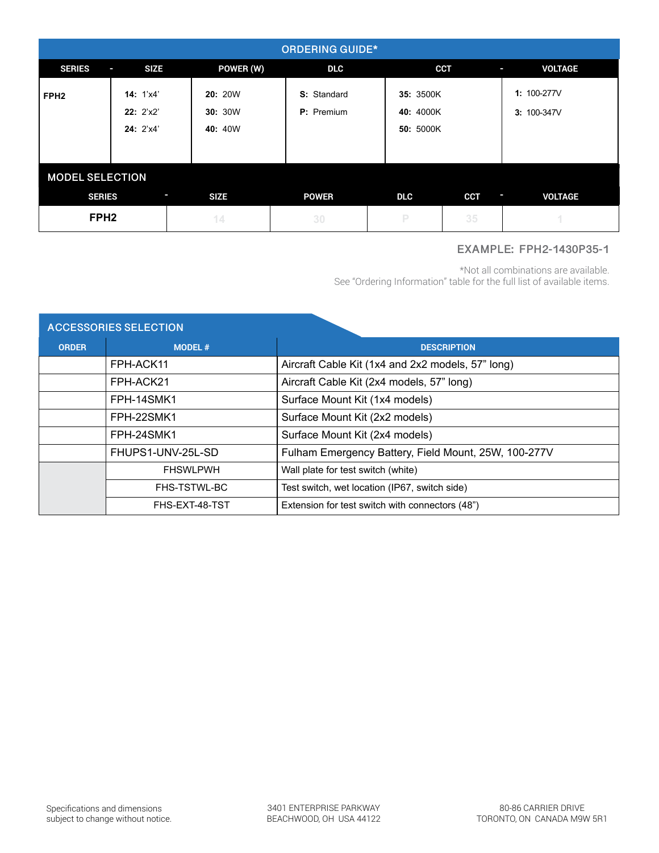| <b>ORDERING GUIDE*</b>                                                                                                          |                                      |                             |                           |                                     |            |                            |  |  |  |
|---------------------------------------------------------------------------------------------------------------------------------|--------------------------------------|-----------------------------|---------------------------|-------------------------------------|------------|----------------------------|--|--|--|
| <b>SERIES</b>                                                                                                                   | <b>SIZE</b><br>U                     | POWER (W)                   | <b>DLC</b>                |                                     | <b>CCT</b> | <b>VOLTAGE</b><br>ı        |  |  |  |
| FPH <sub>2</sub>                                                                                                                | 14: $1'x4'$<br>22: 2'x2'<br>24:2'x4' | 20:20W<br>30:30W<br>40: 40W | S: Standard<br>P: Premium | 35: 3500K<br>40: 4000K<br>50: 5000K |            | 1: 100-277V<br>3: 100-347V |  |  |  |
| <b>MODEL SELECTION</b><br><b>SERIES</b><br><b>POWER</b><br><b>SIZE</b><br><b>DLC</b><br><b>CCT</b><br><b>VOLTAGE</b><br>O,<br>ı |                                      |                             |                           |                                     |            |                            |  |  |  |
| FPH <sub>2</sub>                                                                                                                |                                      | 14                          | 30                        | P                                   | 35         |                            |  |  |  |

### **EXAMPLE: FPH2-1430P35-1**

\*Not all combinations are available. See "Ordering Information" table for the full list of available items.

| <b>ACCESSORIES SELECTION</b> |                   |                                                      |  |  |  |  |  |
|------------------------------|-------------------|------------------------------------------------------|--|--|--|--|--|
| <b>ORDER</b>                 | MODEL $#$         | <b>DESCRIPTION</b>                                   |  |  |  |  |  |
|                              | FPH-ACK11         | Aircraft Cable Kit (1x4 and 2x2 models, 57" long)    |  |  |  |  |  |
|                              | FPH-ACK21         | Aircraft Cable Kit (2x4 models, 57" long)            |  |  |  |  |  |
|                              | FPH-14SMK1        | Surface Mount Kit (1x4 models)                       |  |  |  |  |  |
|                              | FPH-22SMK1        | Surface Mount Kit (2x2 models)                       |  |  |  |  |  |
|                              | FPH-24SMK1        | Surface Mount Kit (2x4 models)                       |  |  |  |  |  |
|                              | FHUPS1-UNV-25L-SD | Fulham Emergency Battery, Field Mount, 25W, 100-277V |  |  |  |  |  |
|                              | <b>FHSWLPWH</b>   | Wall plate for test switch (white)                   |  |  |  |  |  |
|                              | FHS-TSTWL-BC      | Test switch, wet location (IP67, switch side)        |  |  |  |  |  |
|                              | FHS-EXT-48-TST    | Extension for test switch with connectors (48")      |  |  |  |  |  |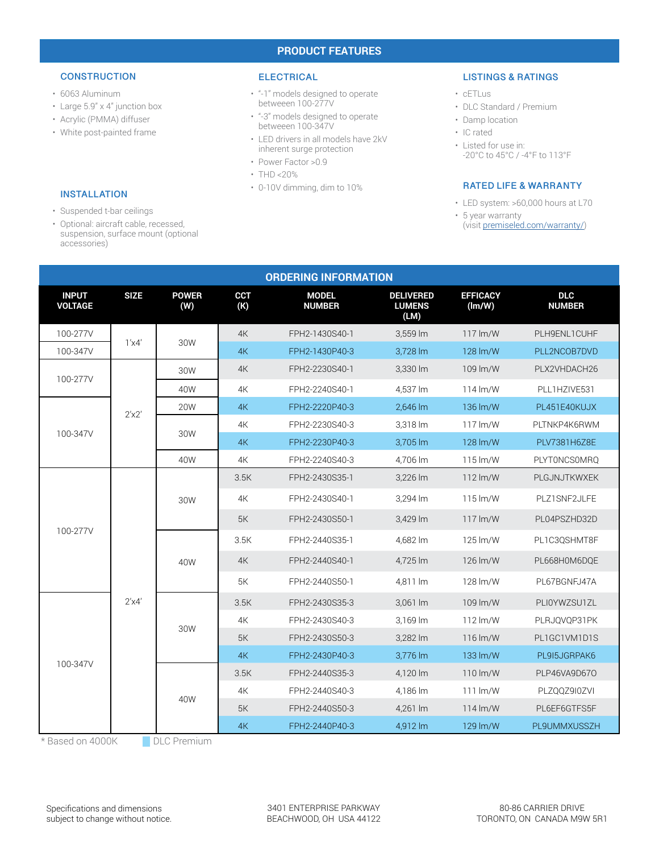#### **PRODUCT FEATURES**

#### **CONSTRUCTION**

- 6063 Aluminum
- Large 5.9" x 4" junction box
- Acrylic (PMMA) diffuser
- White post-painted frame

#### **INSTALLATION**

- Suspended t-bar ceilings
- Optional: aircraft cable, recessed, suspension, surface mount (optional accessories)

#### **ELECTRICAL**

- "-1" models designed to operate betweeen 100-277V
- "-3" models designed to operate betweeen 100-347V
- LED drivers in all models have 2kV inherent surge protection
- Power Factor >0.9
- THD <20%
- 0-10V dimming, dim to 10%

#### **LISTINGS & RATINGS**

- cETLus
- DLC Standard / Premium
- Damp location
- IC rated
- Listed for use in: -20°C to 45°C / -4°F to 113°F

#### **RATED LIFE & WARRANTY**

- LED system: >60,000 hours at L70
- 5 year warranty (visit [premiseled.com/warranty/](https://www.premiseled.com/warranty/))

|                | <b>ORDERING INFORMATION</b><br><b>POWER</b><br><b>DLC</b><br><b>INPUT</b><br><b>SIZE</b><br><b>CCT</b><br><b>MODEL</b><br><b>DELIVERED</b><br><b>EFFICACY</b><br>(W)<br><b>NUMBER</b><br><b>LUMENS</b><br>(lm/W)<br><b>NUMBER</b><br>(K)<br>(LM)<br>4K<br>FPH2-1430S40-1<br>3.559 lm<br>$117 \, \mathrm{Im/W}$<br>PLH9FNL1CUHF<br>1'x4'<br>30W<br>4K<br>FPH2-1430P40-3<br>3,728 lm<br>128 lm/W<br>PLL2NCOB7DVD<br>4K<br>3,330 lm<br>109 lm/W<br>PLX2VHDACH26<br>FPH2-2230S40-1<br>30W<br>100-277V<br>40W<br>4K<br>FPH2-2240S40-1<br>4.537 lm<br>114 lm/W<br>PLL1HZIVE531<br>20W<br>4K<br>FPH2-2220P40-3<br>2.646 lm<br>136 lm/W<br>PL451E40KUJX<br>2'x2'<br>FPH2-2230S40-3<br>3,318 lm<br>117 lm/W<br>PLTNKP4K6RWM<br>4K<br>100-347V<br>30W<br>4K<br>FPH2-2230P40-3<br>3,705 lm<br>128 lm/W<br>PLV7381H6Z8E<br>40W<br>4K<br>FPH2-2240S40-3<br>4.706 lm<br>115 lm/W<br><b>PLYTONCSOMRO</b><br>3.5K<br>FPH2-2430S35-1<br>3,226 lm<br>112 lm/W<br>PLGJNJTKWXEK<br>PLZ1SNF2JLFE<br>4K<br>FPH2-2430S40-1<br>3,294 lm<br>115 lm/W<br>30W<br>5K<br>FPH2-2430S50-1<br>3,429 lm<br>117 lm/W<br>PL04PSZHD32D<br>100-277V<br>3.5K<br>FPH2-2440S35-1<br>4,682 lm<br>125 lm/W<br>PL1C3QSHMT8F |     |      |                |          |                      |              |
|----------------|----------------------------------------------------------------------------------------------------------------------------------------------------------------------------------------------------------------------------------------------------------------------------------------------------------------------------------------------------------------------------------------------------------------------------------------------------------------------------------------------------------------------------------------------------------------------------------------------------------------------------------------------------------------------------------------------------------------------------------------------------------------------------------------------------------------------------------------------------------------------------------------------------------------------------------------------------------------------------------------------------------------------------------------------------------------------------------------------------------------------------------------------------------------------------------|-----|------|----------------|----------|----------------------|--------------|
| <b>VOLTAGE</b> |                                                                                                                                                                                                                                                                                                                                                                                                                                                                                                                                                                                                                                                                                                                                                                                                                                                                                                                                                                                                                                                                                                                                                                                  |     |      |                |          |                      |              |
| 100-277V       |                                                                                                                                                                                                                                                                                                                                                                                                                                                                                                                                                                                                                                                                                                                                                                                                                                                                                                                                                                                                                                                                                                                                                                                  |     |      |                |          |                      |              |
| 100-347V       |                                                                                                                                                                                                                                                                                                                                                                                                                                                                                                                                                                                                                                                                                                                                                                                                                                                                                                                                                                                                                                                                                                                                                                                  |     |      |                |          |                      |              |
|                |                                                                                                                                                                                                                                                                                                                                                                                                                                                                                                                                                                                                                                                                                                                                                                                                                                                                                                                                                                                                                                                                                                                                                                                  |     |      |                |          |                      |              |
|                |                                                                                                                                                                                                                                                                                                                                                                                                                                                                                                                                                                                                                                                                                                                                                                                                                                                                                                                                                                                                                                                                                                                                                                                  |     |      |                |          |                      |              |
|                |                                                                                                                                                                                                                                                                                                                                                                                                                                                                                                                                                                                                                                                                                                                                                                                                                                                                                                                                                                                                                                                                                                                                                                                  |     |      |                |          |                      |              |
|                |                                                                                                                                                                                                                                                                                                                                                                                                                                                                                                                                                                                                                                                                                                                                                                                                                                                                                                                                                                                                                                                                                                                                                                                  |     |      |                |          |                      |              |
|                |                                                                                                                                                                                                                                                                                                                                                                                                                                                                                                                                                                                                                                                                                                                                                                                                                                                                                                                                                                                                                                                                                                                                                                                  |     |      |                |          |                      |              |
|                |                                                                                                                                                                                                                                                                                                                                                                                                                                                                                                                                                                                                                                                                                                                                                                                                                                                                                                                                                                                                                                                                                                                                                                                  |     |      |                |          |                      |              |
|                |                                                                                                                                                                                                                                                                                                                                                                                                                                                                                                                                                                                                                                                                                                                                                                                                                                                                                                                                                                                                                                                                                                                                                                                  |     |      |                |          |                      |              |
|                |                                                                                                                                                                                                                                                                                                                                                                                                                                                                                                                                                                                                                                                                                                                                                                                                                                                                                                                                                                                                                                                                                                                                                                                  |     |      |                |          |                      |              |
|                |                                                                                                                                                                                                                                                                                                                                                                                                                                                                                                                                                                                                                                                                                                                                                                                                                                                                                                                                                                                                                                                                                                                                                                                  |     |      |                |          |                      |              |
|                |                                                                                                                                                                                                                                                                                                                                                                                                                                                                                                                                                                                                                                                                                                                                                                                                                                                                                                                                                                                                                                                                                                                                                                                  | 40W |      |                |          |                      |              |
|                |                                                                                                                                                                                                                                                                                                                                                                                                                                                                                                                                                                                                                                                                                                                                                                                                                                                                                                                                                                                                                                                                                                                                                                                  |     | 4K   | FPH2-2440S40-1 | 4,725 lm | 126 lm/W             | PL668H0M6DQE |
|                |                                                                                                                                                                                                                                                                                                                                                                                                                                                                                                                                                                                                                                                                                                                                                                                                                                                                                                                                                                                                                                                                                                                                                                                  |     | 5K   | FPH2-2440S50-1 | 4,811 lm | 128 lm/W             | PL67BGNFJ47A |
|                | 2'x4'                                                                                                                                                                                                                                                                                                                                                                                                                                                                                                                                                                                                                                                                                                                                                                                                                                                                                                                                                                                                                                                                                                                                                                            |     | 3.5K | FPH2-2430S35-3 | 3,061 lm | 109 lm/W             | PLI0YWZSU1ZL |
|                |                                                                                                                                                                                                                                                                                                                                                                                                                                                                                                                                                                                                                                                                                                                                                                                                                                                                                                                                                                                                                                                                                                                                                                                  | 30W | 4K   | FPH2-2430S40-3 | 3,169 lm | $112 \text{ lm/W}$   | PLRJQVQP31PK |
|                |                                                                                                                                                                                                                                                                                                                                                                                                                                                                                                                                                                                                                                                                                                                                                                                                                                                                                                                                                                                                                                                                                                                                                                                  |     | 5K   | FPH2-2430S50-3 | 3,282 lm | 116 lm/W             | PL1GC1VM1D1S |
| 100-347V       |                                                                                                                                                                                                                                                                                                                                                                                                                                                                                                                                                                                                                                                                                                                                                                                                                                                                                                                                                                                                                                                                                                                                                                                  |     | 4K   | FPH2-2430P40-3 | 3.776 lm | 133 lm/W             | PL9I5JGRPAK6 |
|                |                                                                                                                                                                                                                                                                                                                                                                                                                                                                                                                                                                                                                                                                                                                                                                                                                                                                                                                                                                                                                                                                                                                                                                                  | 40W | 3.5K | FPH2-2440S35-3 | 4,120 lm | 110 lm/W             | PLP46VA9D670 |
|                |                                                                                                                                                                                                                                                                                                                                                                                                                                                                                                                                                                                                                                                                                                                                                                                                                                                                                                                                                                                                                                                                                                                                                                                  |     | 4K   | FPH2-2440S40-3 | 4,186 lm | 111 lm/W             | PLZQQZ9I0ZVI |
|                |                                                                                                                                                                                                                                                                                                                                                                                                                                                                                                                                                                                                                                                                                                                                                                                                                                                                                                                                                                                                                                                                                                                                                                                  |     | 5K   | FPH2-2440S50-3 | 4.261 lm | $114 \mathrm{Im}$ /W | PL6EF6GTFS5F |
|                |                                                                                                                                                                                                                                                                                                                                                                                                                                                                                                                                                                                                                                                                                                                                                                                                                                                                                                                                                                                                                                                                                                                                                                                  |     | 4K   | FPH2-2440P40-3 | 4.912 lm | 129 lm/W             | PL9UMMXUSSZH |

\* Based on 4000K DLC Premium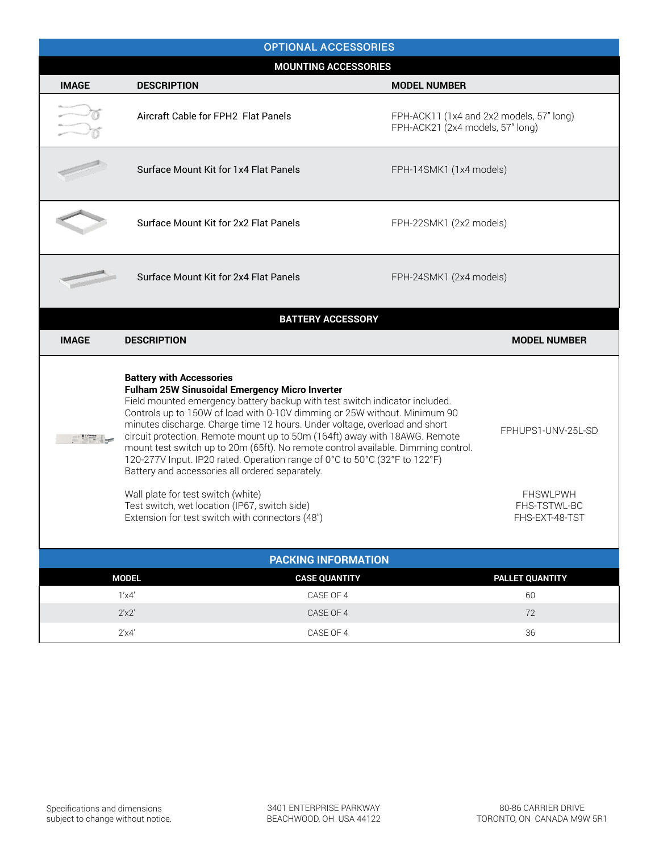|                                                                                                                                                                                                                                                                                                                                                                                                                                                                                           |                                                                                                                                                                                                                                                                                                                                                                                                                                                                                                                                                                                                                                 | <b>OPTIONAL ACCESSORIES</b>                                                  |                                                   |
|-------------------------------------------------------------------------------------------------------------------------------------------------------------------------------------------------------------------------------------------------------------------------------------------------------------------------------------------------------------------------------------------------------------------------------------------------------------------------------------------|---------------------------------------------------------------------------------------------------------------------------------------------------------------------------------------------------------------------------------------------------------------------------------------------------------------------------------------------------------------------------------------------------------------------------------------------------------------------------------------------------------------------------------------------------------------------------------------------------------------------------------|------------------------------------------------------------------------------|---------------------------------------------------|
|                                                                                                                                                                                                                                                                                                                                                                                                                                                                                           |                                                                                                                                                                                                                                                                                                                                                                                                                                                                                                                                                                                                                                 | <b>MOUNTING ACCESSORIES</b>                                                  |                                                   |
| <b>IMAGE</b>                                                                                                                                                                                                                                                                                                                                                                                                                                                                              | <b>DESCRIPTION</b>                                                                                                                                                                                                                                                                                                                                                                                                                                                                                                                                                                                                              | <b>MODEL NUMBER</b>                                                          |                                                   |
|                                                                                                                                                                                                                                                                                                                                                                                                                                                                                           | Aircraft Cable for FPH2 Flat Panels                                                                                                                                                                                                                                                                                                                                                                                                                                                                                                                                                                                             | FPH-ACK11 (1x4 and 2x2 models, 57" long)<br>FPH-ACK21 (2x4 models, 57" long) |                                                   |
|                                                                                                                                                                                                                                                                                                                                                                                                                                                                                           | Surface Mount Kit for 1x4 Flat Panels                                                                                                                                                                                                                                                                                                                                                                                                                                                                                                                                                                                           | FPH-14SMK1 (1x4 models)                                                      |                                                   |
|                                                                                                                                                                                                                                                                                                                                                                                                                                                                                           | Surface Mount Kit for 2x2 Flat Panels                                                                                                                                                                                                                                                                                                                                                                                                                                                                                                                                                                                           | FPH-22SMK1 (2x2 models)                                                      |                                                   |
|                                                                                                                                                                                                                                                                                                                                                                                                                                                                                           | Surface Mount Kit for 2x4 Flat Panels                                                                                                                                                                                                                                                                                                                                                                                                                                                                                                                                                                                           | FPH-24SMK1 (2x4 models)                                                      |                                                   |
|                                                                                                                                                                                                                                                                                                                                                                                                                                                                                           |                                                                                                                                                                                                                                                                                                                                                                                                                                                                                                                                                                                                                                 | <b>BATTERY ACCESSORY</b>                                                     |                                                   |
| <b>IMAGE</b>                                                                                                                                                                                                                                                                                                                                                                                                                                                                              | <b>DESCRIPTION</b>                                                                                                                                                                                                                                                                                                                                                                                                                                                                                                                                                                                                              |                                                                              | <b>MODEL NUMBER</b>                               |
| $\frac{\mathbf{H}}{\mathbf{H}} = \frac{\mathbf{H}}{\mathbf{H}} = \frac{\mathbf{H}}{\mathbf{H}} = \frac{\mathbf{H}}{\mathbf{H}} = \frac{\mathbf{H}}{\mathbf{H}} = \frac{\mathbf{H}}{\mathbf{H}} = \frac{\mathbf{H}}{\mathbf{H}} = \frac{\mathbf{H}}{\mathbf{H}} = \frac{\mathbf{H}}{\mathbf{H}} = \frac{\mathbf{H}}{\mathbf{H}} = \frac{\mathbf{H}}{\mathbf{H}} = \frac{\mathbf{H}}{\mathbf{H}} = \frac{\mathbf{H}}{\mathbf{H}} = \frac{\mathbf{H}}{\mathbf{H}} = \frac{\mathbf{H}}{\math$ | <b>Battery with Accessories</b><br>Fulham 25W Sinusoidal Emergency Micro Inverter<br>Field mounted emergency battery backup with test switch indicator included.<br>Controls up to 150W of load with 0-10V dimming or 25W without. Minimum 90<br>minutes discharge. Charge time 12 hours. Under voltage, overload and short<br>circuit protection. Remote mount up to 50m (164ft) away with 18AWG. Remote<br>mount test switch up to 20m (65ft). No remote control available. Dimming control.<br>120-277V Input. IP20 rated. Operation range of 0°C to 50°C (32°F to 122°F)<br>Battery and accessories all ordered separately. |                                                                              | FPHUPS1-UNV-25L-SD                                |
|                                                                                                                                                                                                                                                                                                                                                                                                                                                                                           | Wall plate for test switch (white)<br>Test switch, wet location (IP67, switch side)<br>Extension for test switch with connectors (48")                                                                                                                                                                                                                                                                                                                                                                                                                                                                                          |                                                                              | <b>FHSWLPWH</b><br>FHS-TSTWL-BC<br>FHS-EXT-48-TST |
|                                                                                                                                                                                                                                                                                                                                                                                                                                                                                           |                                                                                                                                                                                                                                                                                                                                                                                                                                                                                                                                                                                                                                 | <b>PACKING INFORMATION</b>                                                   |                                                   |
|                                                                                                                                                                                                                                                                                                                                                                                                                                                                                           | <b>MODEL</b>                                                                                                                                                                                                                                                                                                                                                                                                                                                                                                                                                                                                                    | <b>CASE QUANTITY</b>                                                         | PALLET QUANTITY                                   |
|                                                                                                                                                                                                                                                                                                                                                                                                                                                                                           | $1'$ x $4'$                                                                                                                                                                                                                                                                                                                                                                                                                                                                                                                                                                                                                     | CASE OF 4                                                                    | 60                                                |
|                                                                                                                                                                                                                                                                                                                                                                                                                                                                                           | 2'x2'                                                                                                                                                                                                                                                                                                                                                                                                                                                                                                                                                                                                                           | CASE OF 4                                                                    | 72                                                |
|                                                                                                                                                                                                                                                                                                                                                                                                                                                                                           | $2'$ x4'                                                                                                                                                                                                                                                                                                                                                                                                                                                                                                                                                                                                                        | CASE OF 4                                                                    | 36                                                |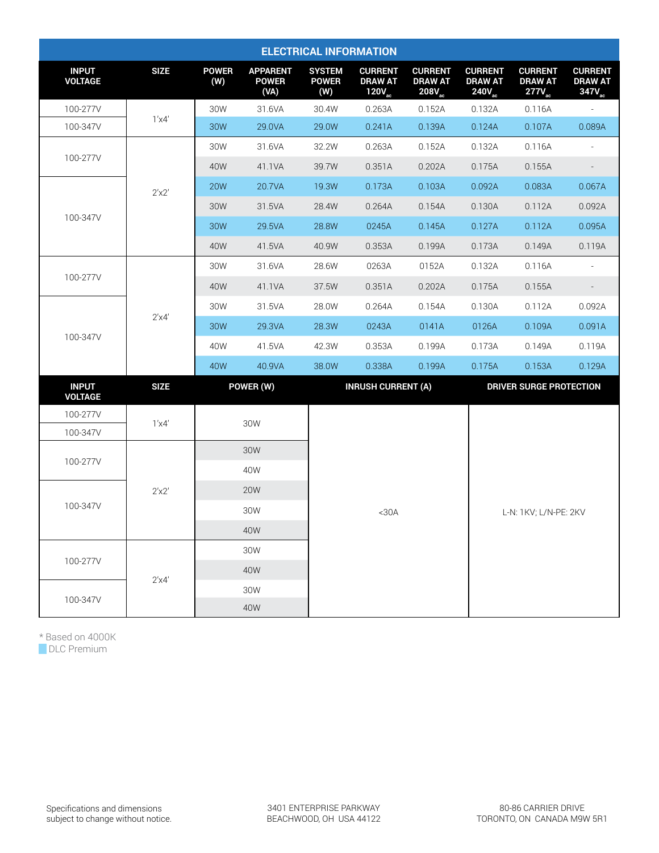|                                |             |                     |                                         | <b>ELECTRICAL INFORMATION</b>        |                                                 |                                                 |                                                        |                                                 |                                                        |  |
|--------------------------------|-------------|---------------------|-----------------------------------------|--------------------------------------|-------------------------------------------------|-------------------------------------------------|--------------------------------------------------------|-------------------------------------------------|--------------------------------------------------------|--|
| <b>INPUT</b><br><b>VOLTAGE</b> | <b>SIZE</b> | <b>POWER</b><br>(W) | <b>APPARENT</b><br><b>POWER</b><br>(VA) | <b>SYSTEM</b><br><b>POWER</b><br>(W) | <b>CURRENT</b><br><b>DRAW AT</b><br>$120V_{ac}$ | <b>CURRENT</b><br><b>DRAW AT</b><br>$208V_{ac}$ | <b>CURRENT</b><br><b>DRAW AT</b><br>240V <sub>ac</sub> | <b>CURRENT</b><br><b>DRAW AT</b><br>$277V_{ac}$ | <b>CURRENT</b><br><b>DRAW AT</b><br>347V <sub>ac</sub> |  |
| 100-277V                       | 1'x4'       | 30W                 | 31.6VA                                  | 30.4W                                | 0.263A                                          | 0.152A                                          | 0.132A                                                 | 0.116A                                          | $\omega$                                               |  |
| 100-347V                       |             | 30W                 | 29.0VA                                  | 29.0W                                | 0.241A                                          | 0.139A                                          | 0.124A                                                 | 0.107A                                          | 0.089A                                                 |  |
|                                |             | 30W                 | 31.6VA                                  | 32.2W                                | 0.263A                                          | 0.152A                                          | 0.132A                                                 | 0.116A                                          |                                                        |  |
| 100-277V                       |             | 40W                 | 41.1VA                                  | 39.7W                                | 0.351A                                          | 0.202A                                          | 0.175A                                                 | 0.155A                                          | $\overline{\phantom{a}}$                               |  |
|                                | 2'x2'       | <b>20W</b>          | 20.7VA                                  | 19.3W                                | 0.173A                                          | 0.103A                                          | 0.092A                                                 | 0.083A                                          | 0.067A                                                 |  |
|                                |             | 30W                 | 31.5VA                                  | 28.4W                                | 0.264A                                          | 0.154A                                          | 0.130A                                                 | 0.112A                                          | 0.092A                                                 |  |
| 100-347V                       |             | 30W                 | 29.5VA                                  | 28.8W                                | 0245A                                           | 0.145A                                          | 0.127A                                                 | 0.112A                                          | 0.095A                                                 |  |
|                                |             | 40W                 | 41.5VA                                  | 40.9W                                | 0.353A                                          | 0.199A                                          | 0.173A                                                 | 0.149A                                          | 0.119A                                                 |  |
|                                |             | 30W                 | 31.6VA                                  | 28.6W                                | 0263A                                           | 0152A                                           | 0.132A                                                 | 0.116A                                          |                                                        |  |
| 100-277V                       |             | 40W                 | 41.1VA                                  | 37.5W                                | 0.351A                                          | 0.202A                                          | 0.175A                                                 | 0.155A                                          |                                                        |  |
|                                | $2'$ x4'    | 30W                 | 31.5VA                                  | 28.0W                                | 0.264A                                          | 0.154A                                          | 0.130A                                                 | 0.112A                                          | 0.092A                                                 |  |
|                                |             | 30W                 | 29.3VA                                  | 28.3W                                | 0243A                                           | 0141A                                           | 0126A                                                  | 0.109A                                          | 0.091A                                                 |  |
| 100-347V                       |             | 40W                 | 41.5VA                                  | 42.3W                                | 0.353A                                          | 0.199A                                          | 0.173A                                                 | 0.149A                                          | 0.119A                                                 |  |
|                                |             | 40W                 | 40.9VA                                  | 38.0W                                | 0.338A                                          | 0.199A                                          | 0.175A                                                 | 0.153A                                          | 0.129A                                                 |  |
| <b>INPUT</b><br><b>VOLTAGE</b> | <b>SIZE</b> |                     | POWER (W)                               |                                      | <b>INRUSH CURRENT (A)</b>                       |                                                 |                                                        | <b>DRIVER SURGE PROTECTION</b>                  |                                                        |  |
| 100-277V                       |             |                     |                                         |                                      |                                                 |                                                 |                                                        |                                                 |                                                        |  |
| 100-347V                       | $1'$ x4'    |                     | 30W                                     |                                      |                                                 |                                                 |                                                        |                                                 |                                                        |  |
|                                |             |                     | 30W                                     |                                      |                                                 |                                                 |                                                        |                                                 |                                                        |  |
| 100-277V                       | 2'x2'       |                     | 40W                                     |                                      |                                                 |                                                 |                                                        |                                                 |                                                        |  |
| 100-347V                       |             |                     | <b>20W</b>                              |                                      | $30A$                                           |                                                 |                                                        |                                                 |                                                        |  |
|                                |             |                     | 30W                                     |                                      |                                                 |                                                 | L-N: 1KV: L/N-PE: 2KV                                  |                                                 |                                                        |  |
|                                |             |                     | 40W                                     |                                      |                                                 |                                                 |                                                        |                                                 |                                                        |  |
|                                |             |                     | 30W                                     |                                      |                                                 |                                                 |                                                        |                                                 |                                                        |  |
| 100-277V                       |             |                     | 40W<br>30W                              |                                      |                                                 |                                                 |                                                        |                                                 |                                                        |  |
|                                | 2'x4'       |                     |                                         |                                      |                                                 |                                                 |                                                        |                                                 |                                                        |  |
| 100-347V                       |             |                     | 40W                                     |                                      |                                                 |                                                 |                                                        |                                                 |                                                        |  |

\* Based on 4000K DLC Premium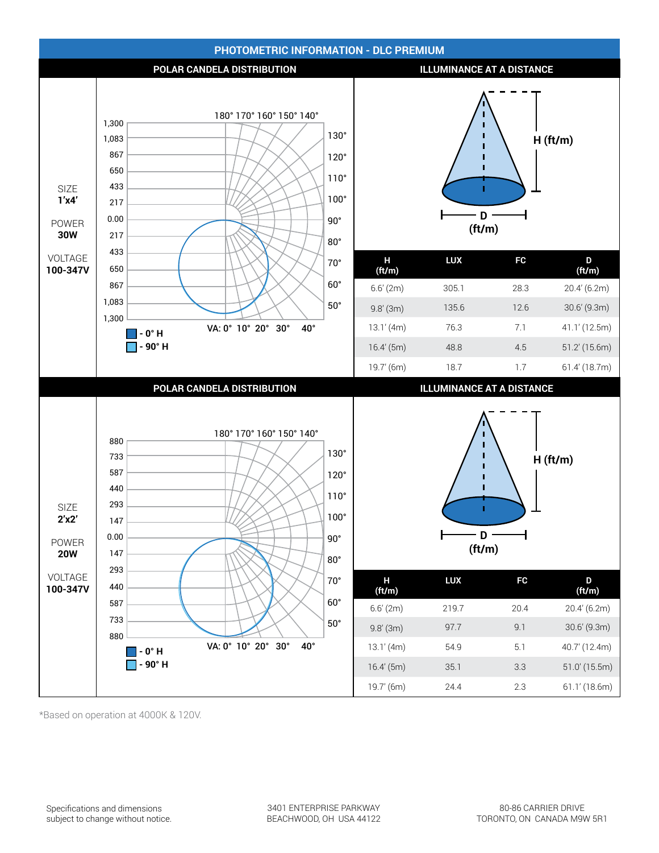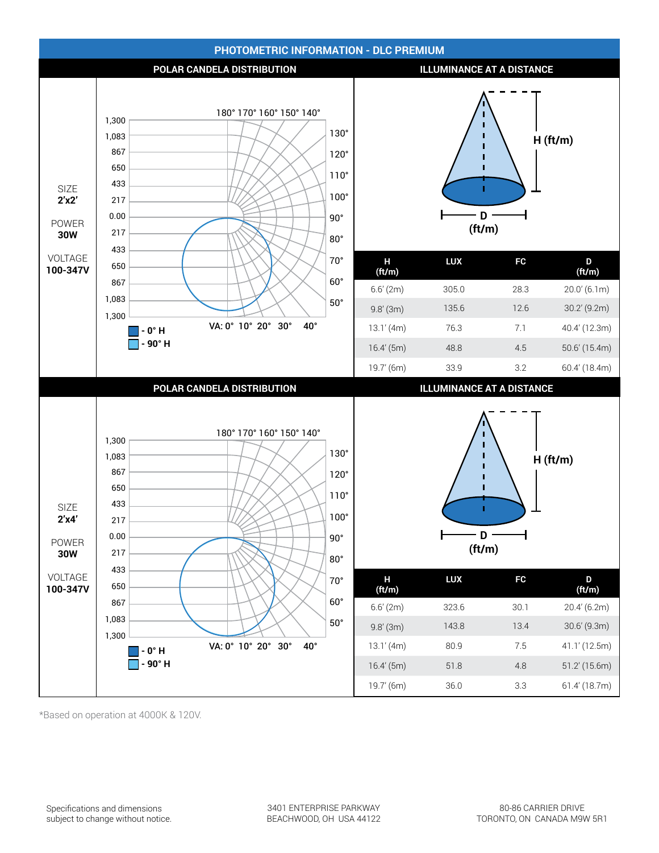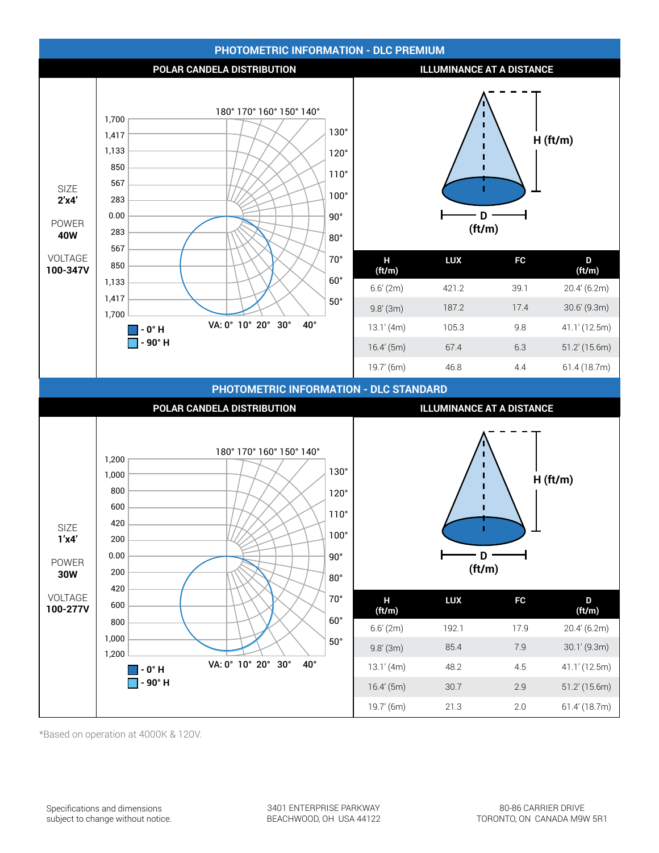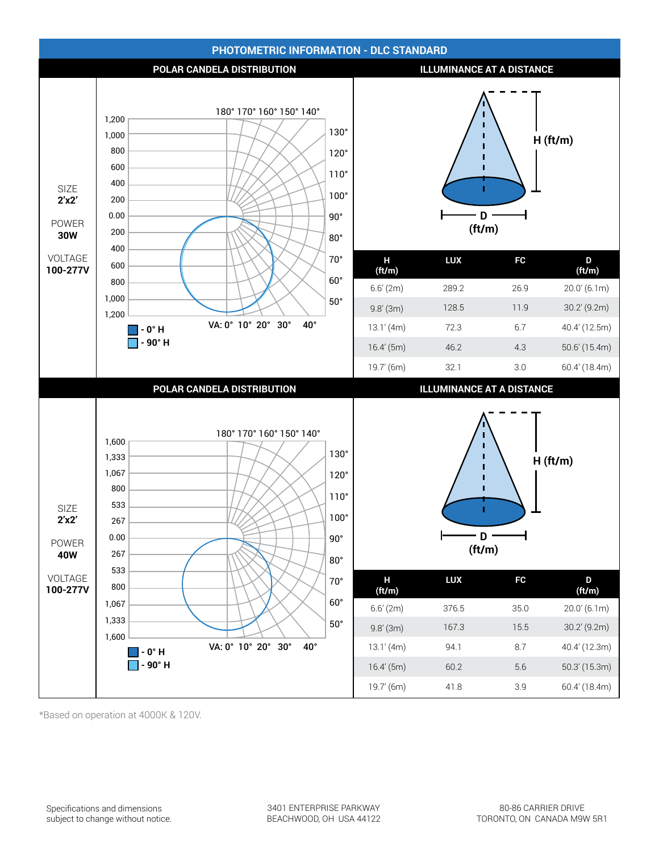